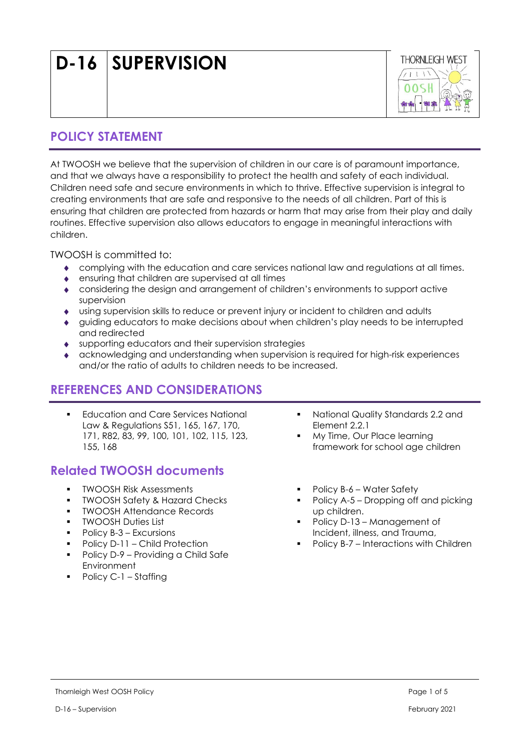| D-16 SUPERVISION |  |
|------------------|--|
|------------------|--|



## **POLICY STATEMENT**

At TWOOSH we believe that the supervision of children in our care is of paramount importance, and that we always have a responsibility to protect the health and safety of each individual. Children need safe and secure environments in which to thrive. Effective supervision is integral to creating environments that are safe and responsive to the needs of all children. Part of this is ensuring that children are protected from hazards or harm that may arise from their play and daily routines. Effective supervision also allows educators to engage in meaningful interactions with children.

TWOOSH is committed to:

- complying with the education and care services national law and regulations at all times.
- ensuring that children are supervised at all times
- considering the design and arrangement of children's environments to support active supervision
- using supervision skills to reduce or prevent injury or incident to children and adults
- guiding educators to make decisions about when children's play needs to be interrupted and redirected
- supporting educators and their supervision strategies
- acknowledging and understanding when supervision is required for high-risk experiences and/or the ratio of adults to children needs to be increased.

# **REFERENCES AND CONSIDERATIONS**

**Education and Care Services National** Law & Regulations S51, 165, 167, 170, 171, R82, 83, 99, 100, 101, 102, 115, 123, 155, 168

# **Related TWOOSH documents**

- **TWOOSH Risk Assessments**
- **TWOOSH Safety & Hazard Checks**
- TWOOSH Attendance Records
- TWOOSH Duties List
- Policy B-3 Excursions
- Policy D-11 Child Protection
- Policy D-9 Providing a Child Safe Environment
- Policy C-1 Staffing
- National Quality Standards 2.2 and Element 2.2.1
- My Time, Our Place learning framework for school age children
- Policy B-6 Water Safety
- Policy A-5 Dropping off and picking up children.
- Policy D-13 Management of Incident, illness, and Trauma,
- Policy B-7 Interactions with Children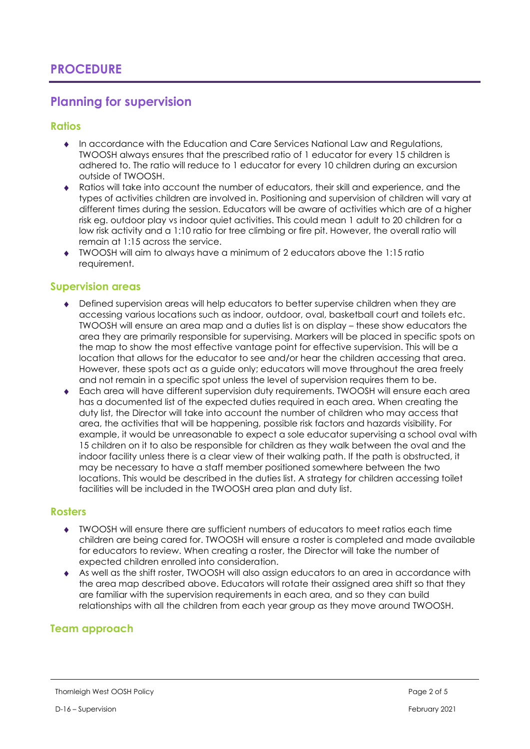### **Planning for supervision**

### **Ratios**

- In accordance with the Education and Care Services National Law and Regulations, TWOOSH always ensures that the prescribed ratio of 1 educator for every 15 children is adhered to. The ratio will reduce to 1 educator for every 10 children during an excursion outside of TWOOSH.
- Ratios will take into account the number of educators, their skill and experience, and the types of activities children are involved in. Positioning and supervision of children will vary at different times during the session. Educators will be aware of activities which are of a higher risk eg. outdoor play vs indoor quiet activities. This could mean 1 adult to 20 children for a low risk activity and a 1:10 ratio for tree climbing or fire pit. However, the overall ratio will remain at 1:15 across the service.
- TWOOSH will aim to always have a minimum of 2 educators above the 1:15 ratio requirement.

#### **Supervision areas**

- Defined supervision areas will help educators to better supervise children when they are accessing various locations such as indoor, outdoor, oval, basketball court and toilets etc. TWOOSH will ensure an area map and a duties list is on display – these show educators the area they are primarily responsible for supervising. Markers will be placed in specific spots on the map to show the most effective vantage point for effective supervision. This will be a location that allows for the educator to see and/or hear the children accessing that area. However, these spots act as a guide only; educators will move throughout the area freely and not remain in a specific spot unless the level of supervision requires them to be.
- Each area will have different supervision duty requirements. TWOOSH will ensure each area has a documented list of the expected duties required in each area. When creating the duty list, the Director will take into account the number of children who may access that area, the activities that will be happening, possible risk factors and hazards visibility. For example, it would be unreasonable to expect a sole educator supervising a school oval with 15 children on it to also be responsible for children as they walk between the oval and the indoor facility unless there is a clear view of their walking path. If the path is obstructed, it may be necessary to have a staff member positioned somewhere between the two locations. This would be described in the duties list. A strategy for children accessing toilet facilities will be included in the TWOOSH area plan and duty list.

#### **Rosters**

- TWOOSH will ensure there are sufficient numbers of educators to meet ratios each time children are being cared for. TWOOSH will ensure a roster is completed and made available for educators to review. When creating a roster, the Director will take the number of expected children enrolled into consideration.
- As well as the shift roster, TWOOSH will also assign educators to an area in accordance with the area map described above. Educators will rotate their assigned area shift so that they are familiar with the supervision requirements in each area, and so they can build relationships with all the children from each year group as they move around TWOOSH.

### **Team approach**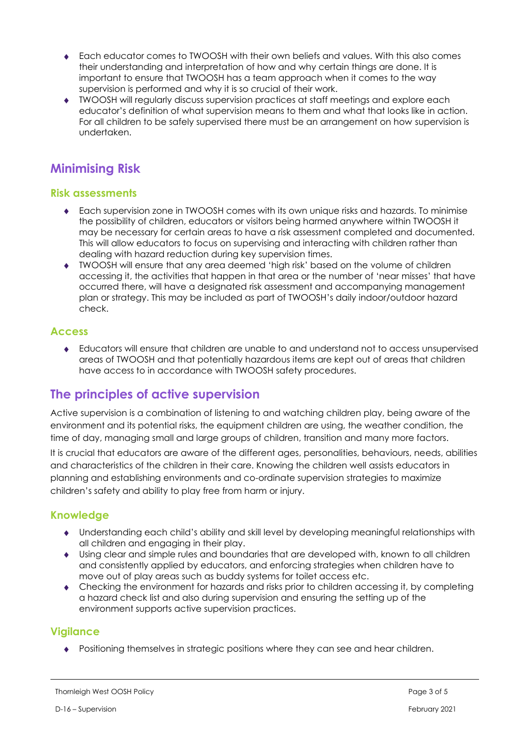- Each educator comes to TWOOSH with their own beliefs and values. With this also comes their understanding and interpretation of how and why certain things are done. It is important to ensure that TWOOSH has a team approach when it comes to the way supervision is performed and why it is so crucial of their work.
- TWOOSH will regularly discuss supervision practices at staff meetings and explore each educator's definition of what supervision means to them and what that looks like in action. For all children to be safely supervised there must be an arrangement on how supervision is undertaken.

# **Minimising Risk**

### **Risk assessments**

- Each supervision zone in TWOOSH comes with its own unique risks and hazards. To minimise the possibility of children, educators or visitors being harmed anywhere within TWOOSH it may be necessary for certain areas to have a risk assessment completed and documented. This will allow educators to focus on supervising and interacting with children rather than dealing with hazard reduction during key supervision times.
- TWOOSH will ensure that any area deemed 'high risk' based on the volume of children accessing it, the activities that happen in that area or the number of 'near misses' that have occurred there, will have a designated risk assessment and accompanying management plan or strategy. This may be included as part of TWOOSH's daily indoor/outdoor hazard check.

### **Access**

 Educators will ensure that children are unable to and understand not to access unsupervised areas of TWOOSH and that potentially hazardous items are kept out of areas that children have access to in accordance with TWOOSH safety procedures.

# **The principles of active supervision**

Active supervision is a combination of listening to and watching children play, being aware of the environment and its potential risks, the equipment children are using, the weather condition, the time of day, managing small and large groups of children, transition and many more factors.

It is crucial that educators are aware of the different ages, personalities, behaviours, needs, abilities and characteristics of the children in their care. Knowing the children well assists educators in planning and establishing environments and co-ordinate supervision strategies to maximize children's safety and ability to play free from harm or injury.

### **Knowledge**

- Understanding each child's ability and skill level by developing meaningful relationships with all children and engaging in their play.
- Using clear and simple rules and boundaries that are developed with, known to all children and consistently applied by educators, and enforcing strategies when children have to move out of play areas such as buddy systems for toilet access etc.
- Checking the environment for hazards and risks prior to children accessing it, by completing a hazard check list and also during supervision and ensuring the setting up of the environment supports active supervision practices.

### **Vigilance**

Positioning themselves in strategic positions where they can see and hear children.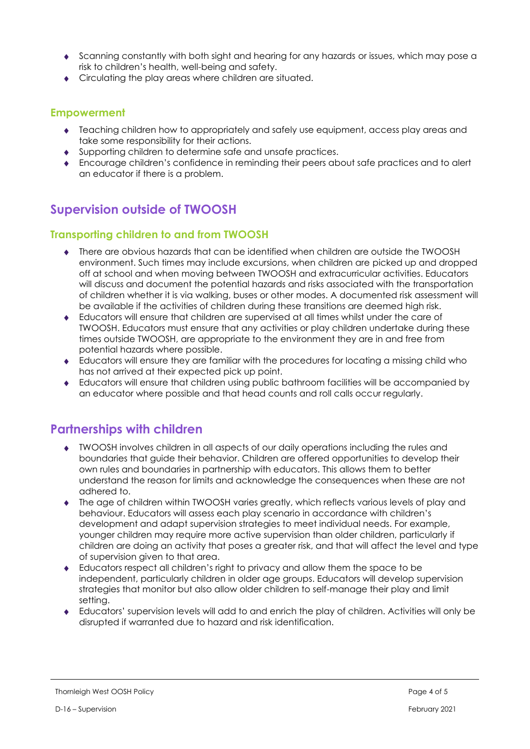- Scanning constantly with both sight and hearing for any hazards or issues, which may pose a risk to children's health, well-being and safety.
- Circulating the play areas where children are situated.

#### **Empowerment**

- Teaching children how to appropriately and safely use equipment, access play areas and take some responsibility for their actions.
- Supporting children to determine safe and unsafe practices.
- Encourage children's confidence in reminding their peers about safe practices and to alert an educator if there is a problem.

## **Supervision outside of TWOOSH**

### **Transporting children to and from TWOOSH**

- There are obvious hazards that can be identified when children are outside the TWOOSH environment. Such times may include excursions, when children are picked up and dropped off at school and when moving between TWOOSH and extracurricular activities. Educators will discuss and document the potential hazards and risks associated with the transportation of children whether it is via walking, buses or other modes. A documented risk assessment will be available if the activities of children during these transitions are deemed high risk.
- Educators will ensure that children are supervised at all times whilst under the care of TWOOSH. Educators must ensure that any activities or play children undertake during these times outside TWOOSH, are appropriate to the environment they are in and free from potential hazards where possible.
- Educators will ensure they are familiar with the procedures for locating a missing child who has not arrived at their expected pick up point.
- Educators will ensure that children using public bathroom facilities will be accompanied by an educator where possible and that head counts and roll calls occur regularly.

### **Partnerships with children**

- TWOOSH involves children in all aspects of our daily operations including the rules and boundaries that guide their behavior. Children are offered opportunities to develop their own rules and boundaries in partnership with educators. This allows them to better understand the reason for limits and acknowledge the consequences when these are not adhered to.
- The age of children within TWOOSH varies greatly, which reflects various levels of play and behaviour. Educators will assess each play scenario in accordance with children's development and adapt supervision strategies to meet individual needs. For example, younger children may require more active supervision than older children, particularly if children are doing an activity that poses a greater risk, and that will affect the level and type of supervision given to that area.
- Educators respect all children's right to privacy and allow them the space to be independent, particularly children in older age groups. Educators will develop supervision strategies that monitor but also allow older children to self-manage their play and limit setting.
- Educators' supervision levels will add to and enrich the play of children. Activities will only be disrupted if warranted due to hazard and risk identification.